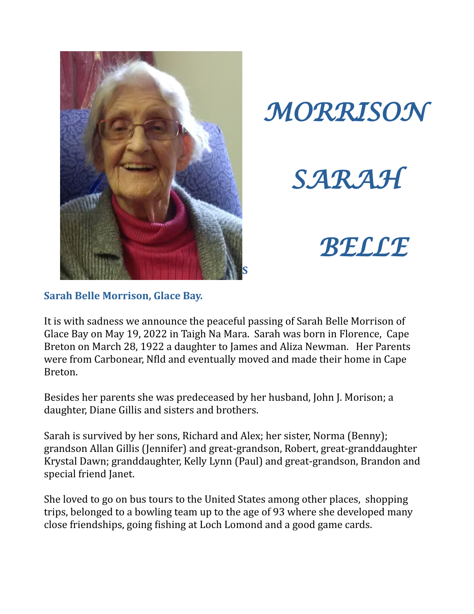



*SARAH*

*BELLE*

## **Sarah Belle Morrison, Glace Bay.**

It is with sadness we announce the peaceful passing of Sarah Belle Morrison of Glace Bay on May 19, 2022 in Taigh Na Mara. Sarah was born in Florence, Cape Breton on March 28, 1922 a daughter to James and Aliza Newman. Her Parents were from Carbonear, Nfld and eventually moved and made their home in Cape Breton.

Besides her parents she was predeceased by her husband, John J. Morison; a daughter, Diane Gillis and sisters and brothers.

Sarah is survived by her sons, Richard and Alex; her sister, Norma (Benny); grandson Allan Gillis (Jennifer) and great-grandson, Robert, great-granddaughter Krystal Dawn; granddaughter, Kelly Lynn (Paul) and great-grandson, Brandon and special friend Janet.

She loved to go on bus tours to the United States among other places, shopping trips, belonged to a bowling team up to the age of 93 where she developed many close friendships, going fishing at Loch Lomond and a good game cards.